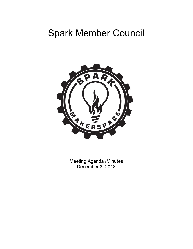# Spark Member Council



Meeting Agenda /Minutes December 3, 2018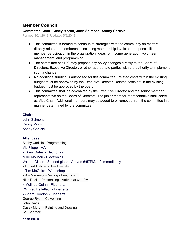# **Member Council**

# **Committee Chair: Casey Moran, John Scimone, Ashby Carlisle**

Formed 3/21/2018, Updated 5/2/2018

- This committee is formed to continue to strategize with the community on matters directly related to membership, including membership levels and responsibilities, member participation in the organization, ideas for income generation, volunteer management, and programming.
- The committee chair(s) may propose any policy changes directly to the Board of Directors, Executive Director, or other appropriate parties with the authority to implement such a change.
- No additional funding is authorized for this committee. Related costs within the existing budget must be approved by the Executive Director. Related costs not in the existing budget must be approved by the board.
- This committee shall be co-chaired by the Executive Director and the senior member representative on the Board of Directors. The junior member representative shall serve as Vice Chair. Additional members may be added to or removed from the committee in a manner determined by the committee.

### **Chairs:**

John Scimone Casey Moran Ashby Carlisle

## **Attendees:**

Ashby Carlisle - Programming Vic Filepp - A/V x Drew Gates - Electronics Mike Molinari - Electronics Valerie Gilson - Stained glass - Arrived 6:57PM, left immediately x Robert Hatcher- Small metals x Tim McGuire - Woodshop x Aly Maderson-Quinlog - Printmaking Nike Desis - Printmaking - Arrived at 6:14PM x Melinda Quinn - Fiber arts Winifred Bellefleur - Fiber arts x Sherri Condon - Fiber arts George Ryan - Coworking John Davis Casey Moran - Painting and Drawing Stu Sharack

**X = not present**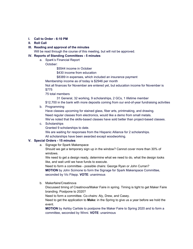- **I. Call to Order - 6:10 PM**
- **II. Roll Call**
- **III. Reading and approval of the minutes**
- Will be read through the course of this meeting, but will not be approved.

#### **IV. Reports of Standing Committees - 5 minutes**

- a. Spark's Financial Report
	- October:

\$5544 income in October

\$430 income from education

\$8389 in expenses, which included an insurance payment

Membership income as of today is \$2946 per month

Not all finances for November are entered yet, but education income for November is \$775

75 total members

31 General, 32 working, 9 scholarships, 2 GCs, 1 lifetime member

- \$12,700 in the bank with more deposits coming from our end-of-year fundraising activities
- b. Programming

Have classes upcoming for stained glass, fiber arts, printmaking, and drawing. Need regular classes from electronics, would like a demo from small metals. We've noted that the skills-based classes have sold better than project-based classes.

c. Scholarships

Granted 9 scholarships to date.

We are waiting for responses from the Hispanic Alliance for 2 scholarships. All scholarships have been awarded except woodworking.

#### **V. Special Orders - 15 minutes**

a. Signage for Spark Makerspace

Should we get a temporary sign up in the window? Cannot cover more than 30% of windows.

We need to get a design ready, determine what we need to do, what the design looks like, and wait until we have funds to execute.

Need to form a committee - possible chairs: George Ryan or John Curran? **MOTION** by John Scimone to form the Signage for Spark Makerspace Committee, seconded by Vic Filepp. **VOTE**: unanimous

b. Makerfaire/Creatinova

Discussed timing of Creatinova/Maker Faire in spring. Timing is tight to get Maker Faire branding. Postpone to 2020?

Need to form a committee. Co-chairs: Aly, Drew, and Casey.

Need to get the application to **Make:** in the Spring to give us a year before we hold the event.

**MOTION** by Ashby Carlisle to postpone the Maker Faire to Spring 2020 and to form a committee, seconded by Winni. **VOTE**: unanimous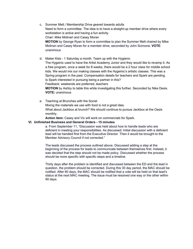c. Summer Melt / Membership Drive geared towards adults Need to form a committee. The idea is to have a straight-up member drive where every workstation is active and having a fun activity. Chair: Mike Molinari and Casey Moran **MOTION** by George Ryan to form a committee to plan the Summer Melt chaired by Mike Molinari and Casey Moran for a member drive, seconded by John Scimone. **VOTE**: unanimous

d. Maker Kids - 1 Saturday a month. Team up with the Hygienic The Hygeinic used to have the Artist Academy Junior and they would like to revamp it. As a free program, once a week for 8 weeks, there would be a 2 hour class for middle school kids. We would mix our making classes with the Hygeinic's artistic classes. This was a Spring program in the past. Compensation details for teachers and Spark are pending. Is Spark interested in pursuing being a partner in this? Feedback: weekends are preferred, teachers **MOTION** by Ashby to table this while investigating this further. Seconded by Nike Desis. **VOTE:** unanimous

e. Teaching at Brunches with the Social Mixing the materials we use with food is not a great idea. What about Jackbox at brunch? We should continue to pursue Jackbox at the Oasis monthly.

**Action item:** Casey and Vic will work on commercials for Spark.

#### **VI. Unfinished Business and General Orders - 15 minutes**

a. From September 11, "Discussion was held about how to handle leads who are deficient in meeting your responsibilities. As discussed: Initial discussion with a deficient lead will be handled first from the Executive Director. Then it would be brought to the Member Advisory Council if not corrected."

The leads discussed the process outlined above. Discussed adding a step at the beginning of the process for leads to communicate between themselves first. Instead, it was decided that the step should not be made policy. Discussed whether the process should be more specific with specific steps and a timeline.

Thirty days after the problem is identified and discussed between the ED and the lead in question, the problem should be corrected. During this 30 day period, the MAC should be notified. After 60 days, the MAC should be notified that a vote will be held on that lead's status at the next MAC meeting. The issue must be resolved one way or the other within 90 days.